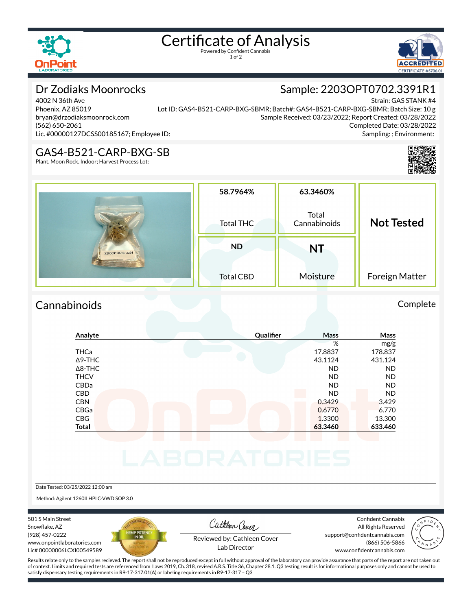

# Certificate of Analysis

1 of 2



## Dr Zodiaks Moonrocks

4002 N 36th Ave Phoenix, AZ 85019 bryan@drzodiaksmoonrock.com (562) 650-2061 Lic. #00000127DCSS00185167; Employee ID:

Strain: GAS STANK #4 Lot ID: GAS4-B521-CARP-BXG-SBMR; Batch#: GAS4-B521-CARP-BXG-SBMR; Batch Size: 10 g Sample Received: 03/23/2022; Report Created: 03/28/2022 Completed Date: 03/28/2022 Sampling: ; Environment:

#### GAS4-B521-CARP-BXG-SB

Plant, Moon Rock, Indoor; Harvest Process Lot:

|                  | 58.7964%         | 63.3460%              |                   |
|------------------|------------------|-----------------------|-------------------|
|                  | <b>Total THC</b> | Total<br>Cannabinoids | <b>Not Tested</b> |
| 2203OPT0702.3391 | <b>ND</b>        | NT                    |                   |
|                  | <b>Total CBD</b> | Moisture              | Foreign Matter    |

#### Cannabinoids Complete

### **Analyte Qualier Mass Mass** % mg/g THCa 17.8837 178.837 Δ9-THC 43.1124 431.124 Δ8-THC ND ND THCV ND ND CBDa ND ND CBD A RESIDENCE OF A RESIDENCE OF A RESIDENCE OF A RESIDENCE OF A RESIDENCE OF A RESIDENCE OF A RESIDENCE OF A CBN 0.3429 3.429 CBGa 0.6770 6.770 CBG 13.300 13.300 13.300 13.300 13.300 13.300 13.300 13.300 13.300 13.300 13.300 13.300 13.300 13.300 13.300 1 **Total 63.3460 633.460**

Date Tested: 03/25/2022 12:00 am

Method: Agilent 1260II HPLC-VWD SOP 3.0

501 S Main Street Snowflake, AZ (928) 457-0222 www.onpointlaboratories.com Lic# 00000006LCXI00549589



Cathleen Cover

Confident Cannabis All Rights Reserved support@confidentcannabis.com (866) 506-5866



Reviewed by: Cathleen Cover Lab Director

www.confidentcannabis.com

Results relate only to the samples recieved. The report shall not be reproduced except in full without approval of the laboratory can provide assurance that parts of the report are not taken out of context. Limits and required tests are referenced from Laws 2019, Ch. 318, revised A.R.S. Title 36, Chapter 28.1. Q3 testing result is for informational purposes only and cannot be used to satisfy dispensary testing requirements in R9-17-317.01(A) or labeling requirements in R9-17-317 – Q3

## Sample: 2203OPT0702.3391R1